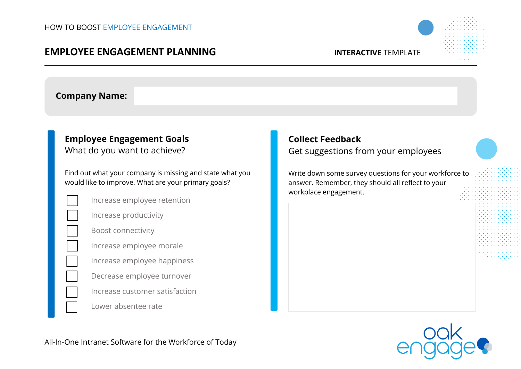## **EMPLOYEE ENGAGEMENT PLANNING INTERACTIVE** TEMPLATE



### **Company Name:**

## **Employee Engagement Goals**

What do you want to achieve?

Find out what your company is missing and state what you would like to improve. What are your primary goals?

|  | Increase employee retention |
|--|-----------------------------|
|--|-----------------------------|

Increase productivity

Boost connectivity

Increase employee morale

Increase employee happiness

Decrease employee turnover

Increase customer satisfaction

Lower absentee rate

# Get suggestions from your employees

**Collect Feedback**

Write down some survey questions for your workforce to answer. Remember, they should all reflect to your workplace engagement.



All-In-One Intranet Software for the Workforce of Today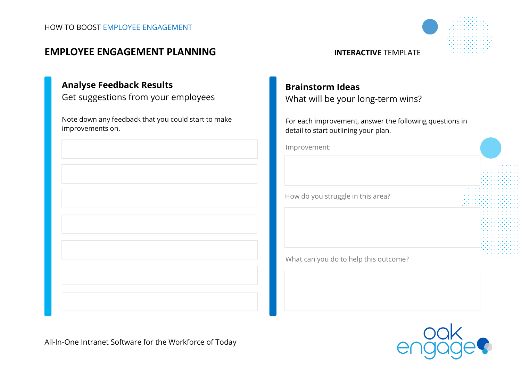## **EMPLOYEE ENGAGEMENT PLANNING INTERACTIVE** TEMPLATE



## **Analyse Feedback Results**

Get suggestions from your employees

Note down any feedback that you could start to make improvements on.



# **Brainstorm Ideas**

What will be your long-term wins?

For each improvement, answer the following questions in detail to start outlining your plan.

Improvement:

How do you struggle in this area?

What can you do to help this outcome?



All-In-One Intranet Software for the Workforce of Today